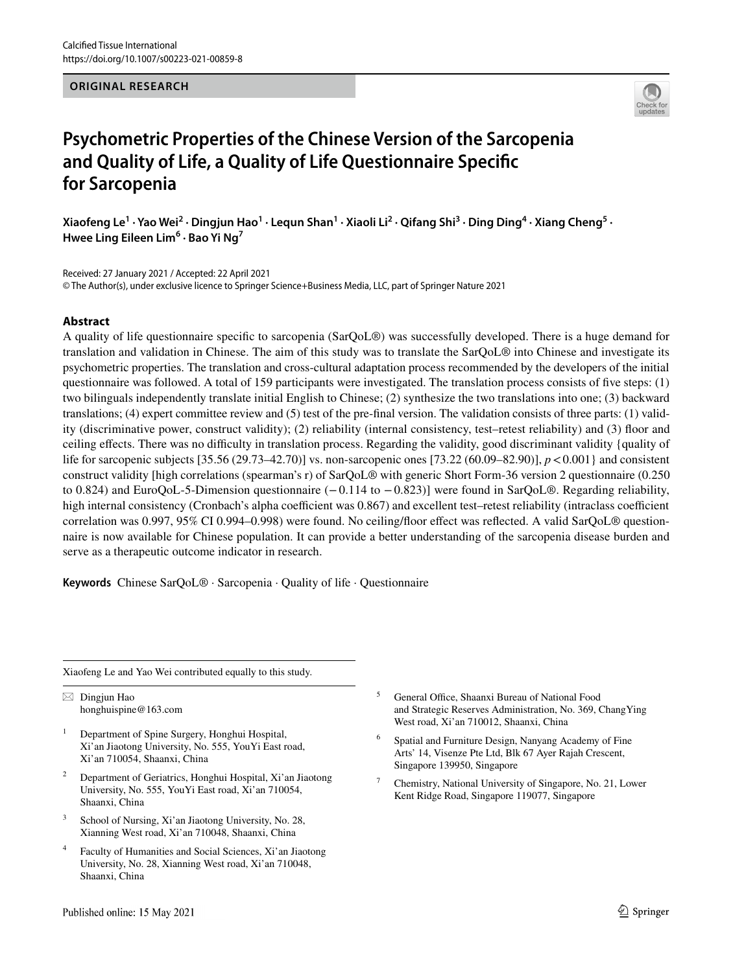### **ORIGINAL RESEARCH**



# **Psychometric Properties of the Chinese Version of the Sarcopenia and Quality of Life, a Quality of Life Questionnaire Specifc for Sarcopenia**

Xiaofeng Le<sup>1</sup> · Yao Wei<sup>2</sup> · Dingjun Hao<sup>1</sup> · Lequn Shan<sup>1</sup> · Xiaoli Li<sup>2</sup> · Qifang Shi<sup>3</sup> · Ding Ding<sup>4</sup> · Xiang Cheng<sup>5</sup> · **Hwee Ling Eileen Lim6 · Bao Yi Ng7**

Received: 27 January 2021 / Accepted: 22 April 2021 © The Author(s), under exclusive licence to Springer Science+Business Media, LLC, part of Springer Nature 2021

# **Abstract**

A quality of life questionnaire specifc to sarcopenia (SarQoL®) was successfully developed. There is a huge demand for translation and validation in Chinese. The aim of this study was to translate the SarQoL® into Chinese and investigate its psychometric properties. The translation and cross-cultural adaptation process recommended by the developers of the initial questionnaire was followed. A total of 159 participants were investigated. The translation process consists of fve steps: (1) two bilinguals independently translate initial English to Chinese; (2) synthesize the two translations into one; (3) backward translations; (4) expert committee review and (5) test of the pre-fnal version. The validation consists of three parts: (1) validity (discriminative power, construct validity); (2) reliability (internal consistency, test–retest reliability) and (3) foor and ceiling efects. There was no difculty in translation process. Regarding the validity, good discriminant validity {quality of life for sarcopenic subjects [35.56 (29.73–42.70)] vs. non-sarcopenic ones [73.22 (60.09–82.90)], *p*<0.001} and consistent construct validity [high correlations (spearman's r) of SarQoL® with generic Short Form-36 version 2 questionnaire (0.250 to 0.824) and EuroQoL-5-Dimension questionnaire (−0.114 to −0.823)] were found in SarQoL®. Regarding reliability, high internal consistency (Cronbach's alpha coefficient was 0.867) and excellent test–retest reliability (intraclass coefficient correlation was 0.997, 95% CI 0.994–0.998) were found. No ceiling/floor effect was reflected. A valid SarQoL® questionnaire is now available for Chinese population. It can provide a better understanding of the sarcopenia disease burden and serve as a therapeutic outcome indicator in research.

**Keywords** Chinese SarQoL® · Sarcopenia · Quality of life · Questionnaire

Xiaofeng Le and Yao Wei contributed equally to this study.

 $\boxtimes$  Dingjun Hao honghuispine@163.com

- <sup>1</sup> Department of Spine Surgery, Honghui Hospital, Xi'an Jiaotong University, No. 555, YouYi East road, Xi'an 710054, Shaanxi, China
- <sup>2</sup> Department of Geriatrics, Honghui Hospital, Xi'an Jiaotong University, No. 555, YouYi East road, Xi'an 710054, Shaanxi, China
- <sup>3</sup> School of Nursing, Xi'an Jiaotong University, No. 28, Xianning West road, Xi'an 710048, Shaanxi, China
- <sup>4</sup> Faculty of Humanities and Social Sciences, Xi'an Jiaotong University, No. 28, Xianning West road, Xi'an 710048, Shaanxi, China
- <sup>5</sup> General Office, Shaanxi Bureau of National Food and Strategic Reserves Administration, No. 369, ChangYing West road, Xi'an 710012, Shaanxi, China
- <sup>6</sup> Spatial and Furniture Design, Nanyang Academy of Fine Arts' 14, Visenze Pte Ltd, Blk 67 Ayer Rajah Crescent, Singapore 139950, Singapore
- <sup>7</sup> Chemistry, National University of Singapore, No. 21, Lower Kent Ridge Road, Singapore 119077, Singapore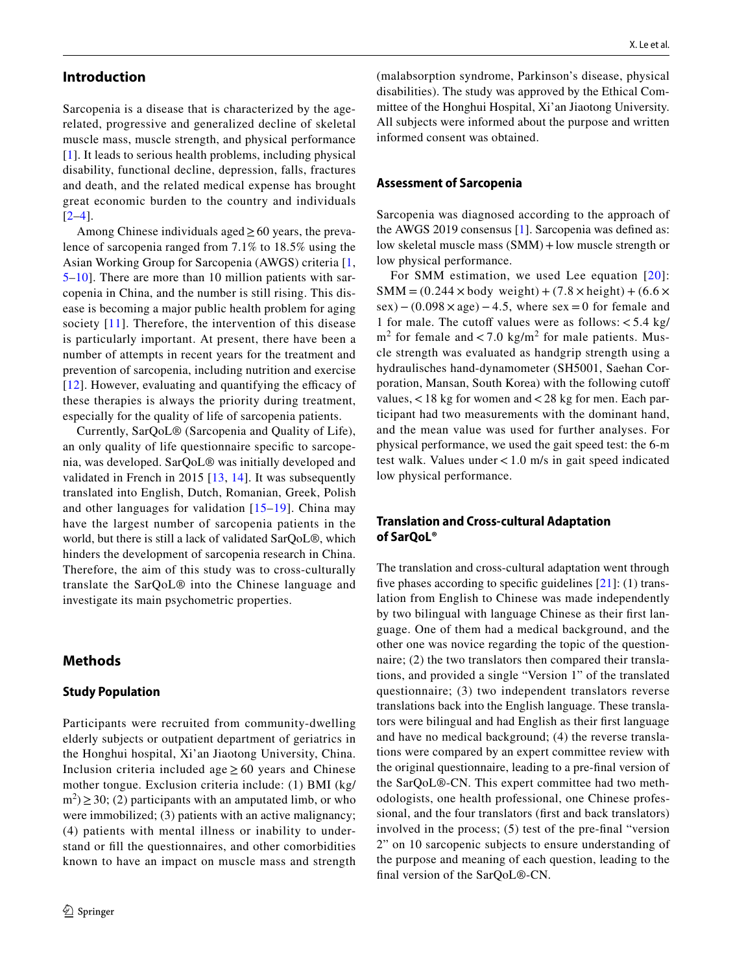# **Introduction**

Sarcopenia is a disease that is characterized by the agerelated, progressive and generalized decline of skeletal muscle mass, muscle strength, and physical performance [\[1\]](#page-6-0). It leads to serious health problems, including physical disability, functional decline, depression, falls, fractures and death, and the related medical expense has brought great economic burden to the country and individuals  $[2-4]$  $[2-4]$  $[2-4]$ .

Among Chinese individuals aged  $\geq 60$  years, the prevalence of sarcopenia ranged from 7.1% to 18.5% using the Asian Working Group for Sarcopenia (AWGS) criteria [\[1,](#page-6-0) [5](#page-6-3)[–10\]](#page-6-4). There are more than 10 million patients with sarcopenia in China, and the number is still rising. This disease is becoming a major public health problem for aging society [[11\]](#page-6-5). Therefore, the intervention of this disease is particularly important. At present, there have been a number of attempts in recent years for the treatment and prevention of sarcopenia, including nutrition and exercise  $[12]$  $[12]$ . However, evaluating and quantifying the efficacy of these therapies is always the priority during treatment, especially for the quality of life of sarcopenia patients.

Currently, SarQoL® (Sarcopenia and Quality of Life), an only quality of life questionnaire specifc to sarcopenia, was developed. SarQoL® was initially developed and validated in French in 2015 [\[13,](#page-6-7) [14](#page-6-8)]. It was subsequently translated into English, Dutch, Romanian, Greek, Polish and other languages for validation [\[15](#page-6-9)[–19](#page-6-10)]. China may have the largest number of sarcopenia patients in the world, but there is still a lack of validated SarQoL®, which hinders the development of sarcopenia research in China. Therefore, the aim of this study was to cross-culturally translate the SarQoL® into the Chinese language and investigate its main psychometric properties.

# **Methods**

### **Study Population**

Participants were recruited from community-dwelling elderly subjects or outpatient department of geriatrics in the Honghui hospital, Xi'an Jiaotong University, China. Inclusion criteria included age  $\geq 60$  years and Chinese mother tongue. Exclusion criteria include: (1) BMI (kg/  $(m<sup>2</sup>) \ge 30$ ; (2) participants with an amputated limb, or who were immobilized; (3) patients with an active malignancy; (4) patients with mental illness or inability to understand or fll the questionnaires, and other comorbidities known to have an impact on muscle mass and strength

(malabsorption syndrome, Parkinson's disease, physical disabilities). The study was approved by the Ethical Committee of the Honghui Hospital, Xi'an Jiaotong University. All subjects were informed about the purpose and written informed consent was obtained.

### **Assessment of Sarcopenia**

Sarcopenia was diagnosed according to the approach of the AWGS 2019 consensus [[1\]](#page-6-0). Sarcopenia was defned as: low skeletal muscle mass (SMM)+low muscle strength or low physical performance.

For SMM estimation, we used Lee equation [[20\]](#page-6-11):  $SMM = (0.244 \times body weight) + (7.8 \times height) + (6.6 \times$  $sex)$  – (0.098  $\times$  age) – 4.5, where sex = 0 for female and 1 for male. The cutoff values were as follows:  $< 5.4$  kg/  $m<sup>2</sup>$  for female and < 7.0 kg/m<sup>2</sup> for male patients. Muscle strength was evaluated as handgrip strength using a hydraulisches hand-dynamometer (SH5001, Saehan Corporation, Mansan, South Korea) with the following cutof values,<18 kg for women and<28 kg for men. Each participant had two measurements with the dominant hand, and the mean value was used for further analyses. For physical performance, we used the gait speed test: the 6-m test walk. Values under <1.0 m/s in gait speed indicated low physical performance.

# **Translation and Cross‑cultural Adaptation of SarQoL®**

The translation and cross-cultural adaptation went through five phases according to specific guidelines  $[21]$  $[21]$ : (1) translation from English to Chinese was made independently by two bilingual with language Chinese as their frst language. One of them had a medical background, and the other one was novice regarding the topic of the questionnaire; (2) the two translators then compared their translations, and provided a single "Version 1" of the translated questionnaire; (3) two independent translators reverse translations back into the English language. These translators were bilingual and had English as their frst language and have no medical background; (4) the reverse translations were compared by an expert committee review with the original questionnaire, leading to a pre-fnal version of the SarQoL®-CN. This expert committee had two methodologists, one health professional, one Chinese professional, and the four translators (frst and back translators) involved in the process; (5) test of the pre-fnal "version 2" on 10 sarcopenic subjects to ensure understanding of the purpose and meaning of each question, leading to the fnal version of the SarQoL®-CN.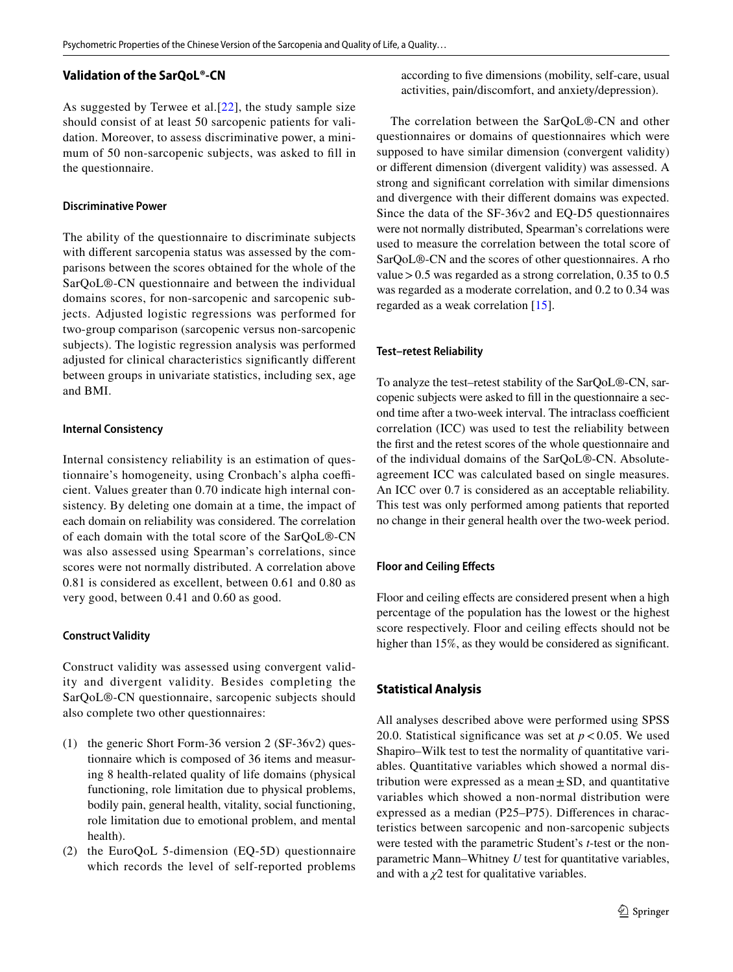# **Validation of the SarQoL®‑CN**

As suggested by Terwee et al.[[22](#page-7-1)], the study sample size should consist of at least 50 sarcopenic patients for validation. Moreover, to assess discriminative power, a minimum of 50 non-sarcopenic subjects, was asked to fll in the questionnaire.

### **Discriminative Power**

The ability of the questionnaire to discriminate subjects with diferent sarcopenia status was assessed by the comparisons between the scores obtained for the whole of the SarQoL®-CN questionnaire and between the individual domains scores, for non-sarcopenic and sarcopenic subjects. Adjusted logistic regressions was performed for two-group comparison (sarcopenic versus non-sarcopenic subjects). The logistic regression analysis was performed adjusted for clinical characteristics signifcantly diferent between groups in univariate statistics, including sex, age and BMI.

### **Internal Consistency**

Internal consistency reliability is an estimation of questionnaire's homogeneity, using Cronbach's alpha coefficient. Values greater than 0.70 indicate high internal consistency. By deleting one domain at a time, the impact of each domain on reliability was considered. The correlation of each domain with the total score of the SarQoL®-CN was also assessed using Spearman's correlations, since scores were not normally distributed. A correlation above 0.81 is considered as excellent, between 0.61 and 0.80 as very good, between 0.41 and 0.60 as good.

# **Construct Validity**

Construct validity was assessed using convergent validity and divergent validity. Besides completing the SarQoL®-CN questionnaire, sarcopenic subjects should also complete two other questionnaires:

- (1) the generic Short Form-36 version 2 (SF-36v2) questionnaire which is composed of 36 items and measuring 8 health-related quality of life domains (physical functioning, role limitation due to physical problems, bodily pain, general health, vitality, social functioning, role limitation due to emotional problem, and mental health).
- (2) the EuroQoL 5-dimension (EQ-5D) questionnaire which records the level of self-reported problems

according to fve dimensions (mobility, self-care, usual activities, pain/discomfort, and anxiety/depression).

The correlation between the SarQoL®-CN and other questionnaires or domains of questionnaires which were supposed to have similar dimension (convergent validity) or diferent dimension (divergent validity) was assessed. A strong and signifcant correlation with similar dimensions and divergence with their diferent domains was expected. Since the data of the SF-36v2 and EQ-D5 questionnaires were not normally distributed, Spearman's correlations were used to measure the correlation between the total score of SarQoL®-CN and the scores of other questionnaires. A rho value>0.5 was regarded as a strong correlation, 0.35 to 0.5 was regarded as a moderate correlation, and 0.2 to 0.34 was regarded as a weak correlation [[15](#page-6-9)].

### **Test–retest Reliability**

To analyze the test–retest stability of the SarQoL®-CN, sarcopenic subjects were asked to fll in the questionnaire a second time after a two-week interval. The intraclass coefficient correlation (ICC) was used to test the reliability between the frst and the retest scores of the whole questionnaire and of the individual domains of the SarQoL®-CN. Absoluteagreement ICC was calculated based on single measures. An ICC over 0.7 is considered as an acceptable reliability. This test was only performed among patients that reported no change in their general health over the two-week period.

# **Floor and Ceiling Efects**

Floor and ceiling effects are considered present when a high percentage of the population has the lowest or the highest score respectively. Floor and ceiling effects should not be higher than 15%, as they would be considered as significant.

# **Statistical Analysis**

All analyses described above were performed using SPSS 20.0. Statistical significance was set at  $p < 0.05$ . We used Shapiro–Wilk test to test the normality of quantitative variables. Quantitative variables which showed a normal distribution were expressed as a mean $\pm$ SD, and quantitative variables which showed a non-normal distribution were expressed as a median (P25–P75). Diferences in characteristics between sarcopenic and non-sarcopenic subjects were tested with the parametric Student's *t*-test or the nonparametric Mann–Whitney *U* test for quantitative variables, and with a  $\chi$ <sup>2</sup> test for qualitative variables.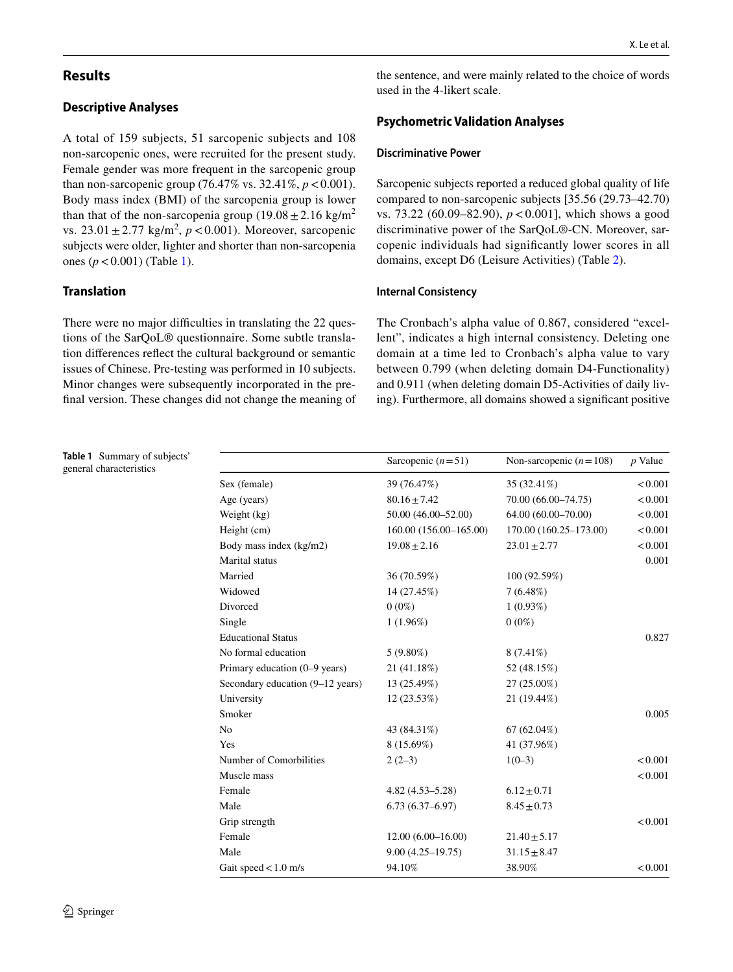# **Results**

# **Descriptive Analyses**

A total of 159 subjects, 51 sarcopenic subjects and 108 non-sarcopenic ones, were recruited for the present study. Female gender was more frequent in the sarcopenic group than non-sarcopenic group  $(76.47\% \text{ vs. } 32.41\%, p < 0.001)$ . Body mass index (BMI) of the sarcopenia group is lower than that of the non-sarcopenia group  $(19.08 \pm 2.16 \text{ kg/m}^2)$ vs.  $23.01 \pm 2.77$  kg/m<sup>2</sup>,  $p < 0.001$ ). Moreover, sarcopenic subjects were older, lighter and shorter than non-sarcopenia ones (*p*<0.001) (Table [1\)](#page-3-0).

# **Translation**

There were no major difficulties in translating the 22 questions of the SarQoL® questionnaire. Some subtle translation diferences refect the cultural background or semantic issues of Chinese. Pre-testing was performed in 10 subjects. Minor changes were subsequently incorporated in the prefnal version. These changes did not change the meaning of the sentence, and were mainly related to the choice of words used in the 4-likert scale.

# **Psychometric Validation Analyses**

### **Discriminative Power**

Sarcopenic subjects reported a reduced global quality of life compared to non-sarcopenic subjects [35.56 (29.73–42.70) vs. 73.22 (60.09–82.90), *p*<0.001], which shows a good discriminative power of the SarQoL®-CN. Moreover, sarcopenic individuals had signifcantly lower scores in all domains, except D6 (Leisure Activities) (Table [2](#page-4-0)).

### **Internal Consistency**

The Cronbach's alpha value of 0.867, considered "excellent", indicates a high internal consistency. Deleting one domain at a time led to Cronbach's alpha value to vary between 0.799 (when deleting domain D4-Functionality) and 0.911 (when deleting domain D5-Activities of daily living). Furthermore, all domains showed a signifcant positive

<span id="page-3-0"></span>

| Table 1 Summary of subjects'<br>general characteristics |                                  | Sarcopenic $(n=51)$    | Non-sarcopenic $(n=108)$ | $p$ Value |
|---------------------------------------------------------|----------------------------------|------------------------|--------------------------|-----------|
|                                                         | Sex (female)                     | 39 (76.47%)            | 35 (32.41%)              | < 0.001   |
|                                                         | Age (years)                      | $80.16 \pm 7.42$       | 70.00 (66.00-74.75)      | < 0.001   |
|                                                         | Weight (kg)                      | 50.00 (46.00-52.00)    | 64.00 (60.00-70.00)      | < 0.001   |
|                                                         | Height (cm)                      | 160.00 (156.00-165.00) | 170.00 (160.25-173.00)   | < 0.001   |
|                                                         | Body mass index (kg/m2)          | $19.08 \pm 2.16$       | $23.01 \pm 2.77$         | < 0.001   |
|                                                         | Marital status                   |                        |                          | 0.001     |
|                                                         | Married                          | 36 (70.59%)            | 100 (92.59%)             |           |
|                                                         | Widowed                          | 14 (27.45%)            | 7(6.48%)                 |           |
|                                                         | Divorced                         | $0(0\%)$               | 1(0.93%)                 |           |
|                                                         | Single                           | 1(1.96%)               | $0(0\%)$                 |           |
|                                                         | <b>Educational Status</b>        |                        |                          | 0.827     |
|                                                         | No formal education              | $5(9.80\%)$            | $8(7.41\%)$              |           |
|                                                         | Primary education (0–9 years)    | 21 (41.18%)            | 52 (48.15%)              |           |
|                                                         | Secondary education (9–12 years) | 13 (25.49%)            | $27(25.00\%)$            |           |
|                                                         | University                       | 12(23.53%)             | 21 (19.44%)              |           |
|                                                         | Smoker                           |                        |                          | 0.005     |
|                                                         | No                               | 43 (84.31%)            | 67 $(62.04\%)$           |           |
|                                                         | Yes                              | 8 (15.69%)             | 41 (37.96%)              |           |
|                                                         | Number of Comorbilities          | $2(2-3)$               | $1(0-3)$                 | < 0.001   |
|                                                         | Muscle mass                      |                        |                          | < 0.001   |
|                                                         | Female                           | $4.82(4.53 - 5.28)$    | $6.12 \pm 0.71$          |           |
|                                                         | Male                             | $6.73(6.37 - 6.97)$    | $8.45 \pm 0.73$          |           |
|                                                         | Grip strength                    |                        |                          | < 0.001   |
|                                                         | Female                           | $12.00(6.00-16.00)$    | $21.40 \pm 5.17$         |           |
|                                                         | Male                             | $9.00(4.25 - 19.75)$   | $31.15 \pm 8.47$         |           |
|                                                         | Gait speed $< 1.0$ m/s           | 94.10%                 | 38.90%                   | < 0.001   |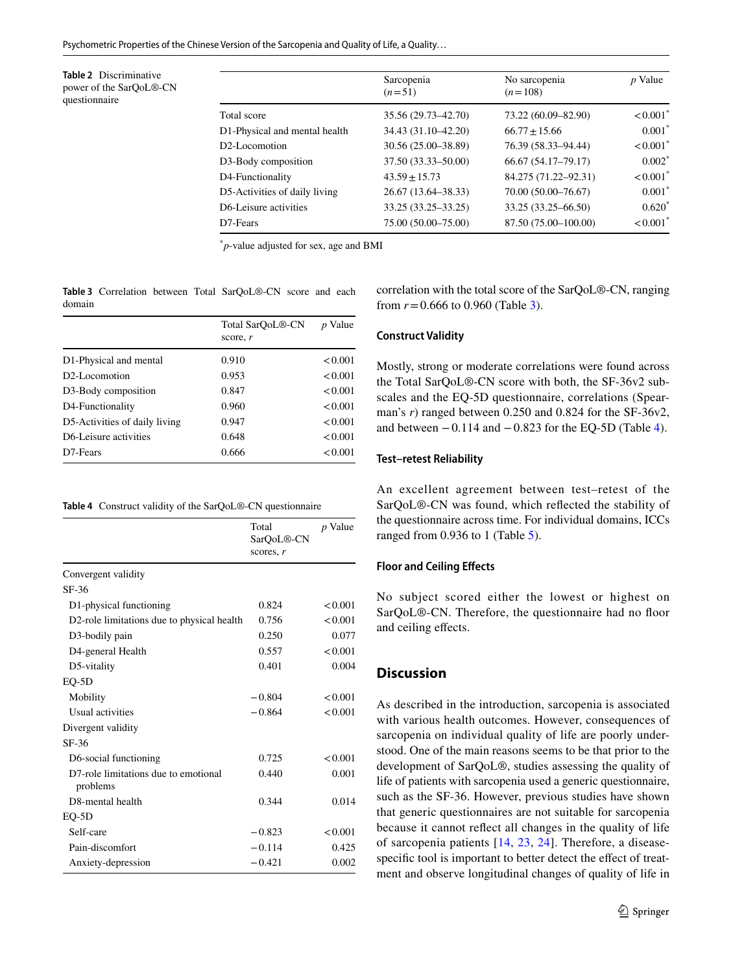Psychometric Properties of the Chinese Version of the Sarcopenia and Quality of Life, a Quality…

<span id="page-4-0"></span>**Table 2** Discriminative power of the SarQoL®-CN questionnaire

|                               | Sarcopenia<br>$(n=51)$ | No sarcopenia<br>$(n=108)$ | $p$ Value              |
|-------------------------------|------------------------|----------------------------|------------------------|
| Total score                   | 35.56 (29.73-42.70)    | 73.22 (60.09-82.90)        | $< 0.001$ <sup>*</sup> |
| D1-Physical and mental health | 34.43 (31.10-42.20)    | $66.77 \pm 15.66$          | $0.001*$               |
| D <sub>2</sub> -Locomotion    | 30.56 (25.00-38.89)    | 76.39 (58.33–94.44)        | $< 0.001$ <sup>*</sup> |
| D3-Body composition           | 37.50 (33.33-50.00)    | 66.67 (54.17-79.17)        | $0.002*$               |
| D4-Functionality              | $43.59 \pm 15.73$      | 84.275 (71.22-92.31)       | $< 0.001$ <sup>*</sup> |
| D5-Activities of daily living | 26.67 (13.64–38.33)    | 70.00 (50.00-76.67)        | $0.001*$               |
| D6-Leisure activities         | 33.25 (33.25 - 33.25)  | 33.25 (33.25–66.50)        | $0.620*$               |
| D <sub>7</sub> -Fears         | 75.00 (50.00-75.00)    | 87.50 (75.00-100.00)       | $< 0.001$ <sup>*</sup> |

\* *p*-value adjusted for sex, age and BMI

<span id="page-4-1"></span>**Table 3** Correlation between Total SarQoL®-CN score and each domain

|                                    | Total SarOoL <sup>®</sup> -CN<br>score, $r$ | <i>p</i> Value |
|------------------------------------|---------------------------------------------|----------------|
| D1-Physical and mental             | 0.910                                       | < 0.001        |
| D <sub>2</sub> -Locomotion         | 0.953                                       | < 0.001        |
| D3-Body composition                | 0.847                                       | < 0.001        |
| D4-Functionality                   | 0.960                                       | < 0.001        |
| D5-Activities of daily living      | 0.947                                       | < 0.001        |
| D <sub>6</sub> -Leisure activities | 0.648                                       | < 0.001        |
| D <sub>7</sub> -Fears              | 0.666                                       | < 0.001        |

<span id="page-4-2"></span>

| Table 4 Construct validity of the SarQoL®-CN questionnaire |  |  |
|------------------------------------------------------------|--|--|
|------------------------------------------------------------|--|--|

|                                                  | Total<br>SarQoL®-CN<br>scores, $r$ | <i>p</i> Value |
|--------------------------------------------------|------------------------------------|----------------|
| Convergent validity                              |                                    |                |
| $SF-36$                                          |                                    |                |
| D1-physical functioning                          | 0.824                              | < 0.001        |
| D2-role limitations due to physical health       | 0.756                              | < 0.001        |
| D3-bodily pain                                   | 0.250                              | 0.077          |
| D4-general Health                                | 0.557                              | < 0.001        |
| D5-vitality                                      | 0.401                              | 0.004          |
| $EO-5D$                                          |                                    |                |
| Mobility                                         | $-0.804$                           | < 0.001        |
| Usual activities                                 | $-0.864$                           | < 0.001        |
| Divergent validity                               |                                    |                |
| $SF-36$                                          |                                    |                |
| D6-social functioning                            | 0.725                              | < 0.001        |
| D7-role limitations due to emotional<br>problems | 0.440                              | 0.001          |
| D8-mental health                                 | 0.344                              | 0.014          |
| $EQ-5D$                                          |                                    |                |
| Self-care                                        | $-0.823$                           | < 0.001        |
| Pain-discomfort                                  | $-0.114$                           | 0.425          |
| Anxiety-depression                               | $-0.421$                           | 0.002          |

correlation with the total score of the SarQoL®-CN, ranging from  $r = 0.666$  to 0.960 (Table [3\)](#page-4-1).

#### **Construct Validity**

Mostly, strong or moderate correlations were found across the Total SarQoL®-CN score with both, the SF-36v2 subscales and the EQ-5D questionnaire, correlations (Spearman's *r*) ranged between 0.250 and 0.824 for the SF-36v2, and between  $-0.114$  and  $-0.823$  for the EQ-5D (Table [4\)](#page-4-2).

#### **Test–retest Reliability**

An excellent agreement between test–retest of the SarQoL®-CN was found, which refected the stability of the questionnaire across time. For individual domains, ICCs ranged from 0.936 to 1 (Table [5](#page-5-0)).

#### **Floor and Ceiling Efects**

No subject scored either the lowest or highest on SarQoL®-CN. Therefore, the questionnaire had no floor and ceiling efects.

# **Discussion**

As described in the introduction, sarcopenia is associated with various health outcomes. However, consequences of sarcopenia on individual quality of life are poorly understood. One of the main reasons seems to be that prior to the development of SarQoL®, studies assessing the quality of life of patients with sarcopenia used a generic questionnaire, such as the SF-36. However, previous studies have shown that generic questionnaires are not suitable for sarcopenia because it cannot refect all changes in the quality of life of sarcopenia patients [[14](#page-6-8), [23](#page-7-2), [24](#page-7-3)]. Therefore, a diseasespecific tool is important to better detect the effect of treatment and observe longitudinal changes of quality of life in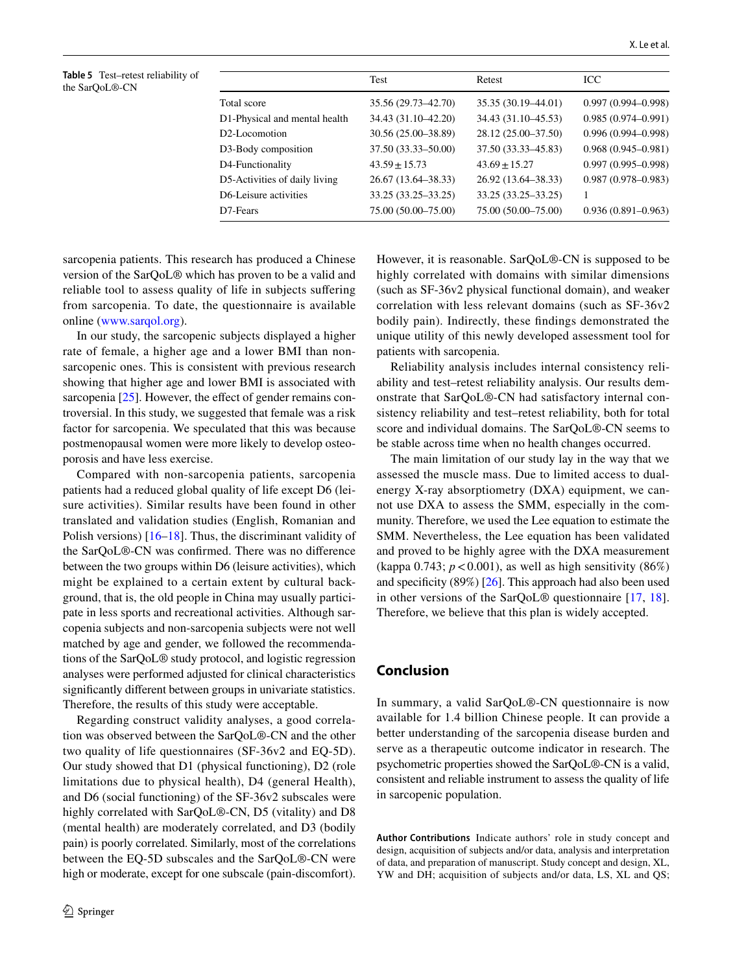<span id="page-5-0"></span>**Table 5** Test–retest reliability of the SarQoL®-CN

|                               | Test                  | Retest                | <b>ICC</b>             |
|-------------------------------|-----------------------|-----------------------|------------------------|
| Total score                   | 35.56 (29.73–42.70)   | 35.35 (30.19 - 44.01) | $0.997(0.994 - 0.998)$ |
| D1-Physical and mental health | 34.43 (31.10-42.20)   | 34.43 (31.10-45.53)   | $0.985(0.974 - 0.991)$ |
| D2-Locomotion                 | 30.56 (25.00-38.89)   | 28.12 (25.00-37.50)   | $0.996(0.994 - 0.998)$ |
| D3-Body composition           | 37.50 (33.33-50.00)   | 37.50 (33.33–45.83)   | $0.968(0.945 - 0.981)$ |
| D4-Functionality              | $43.59 \pm 15.73$     | $43.69 \pm 15.27$     | $0.997(0.995 - 0.998)$ |
| D5-Activities of daily living | 26.67 (13.64–38.33)   | 26.92 (13.64–38.33)   | $0.987(0.978 - 0.983)$ |
| D6-Leisure activities         | 33.25 (33.25 - 33.25) | 33.25 (33.25–33.25)   |                        |
| D7-Fears                      | 75.00 (50.00-75.00)   | 75.00 (50.00-75.00)   | $0.936(0.891 - 0.963)$ |

sarcopenia patients. This research has produced a Chinese version of the SarQoL® which has proven to be a valid and reliable tool to assess quality of life in subjects sufering from sarcopenia. To date, the questionnaire is available online [\(www.sarqol.org](http://www.sarqol.org)).

In our study, the sarcopenic subjects displayed a higher rate of female, a higher age and a lower BMI than nonsarcopenic ones. This is consistent with previous research showing that higher age and lower BMI is associated with sarcopenia [[25\]](#page-7-4). However, the effect of gender remains controversial. In this study, we suggested that female was a risk factor for sarcopenia. We speculated that this was because postmenopausal women were more likely to develop osteoporosis and have less exercise.

Compared with non-sarcopenia patients, sarcopenia patients had a reduced global quality of life except D6 (leisure activities). Similar results have been found in other translated and validation studies (English, Romanian and Polish versions) [\[16](#page-6-12)[–18](#page-6-13)]. Thus, the discriminant validity of the SarQoL®-CN was confrmed. There was no diference between the two groups within D6 (leisure activities), which might be explained to a certain extent by cultural background, that is, the old people in China may usually participate in less sports and recreational activities. Although sarcopenia subjects and non-sarcopenia subjects were not well matched by age and gender, we followed the recommendations of the SarQoL® study protocol, and logistic regression analyses were performed adjusted for clinical characteristics signifcantly diferent between groups in univariate statistics. Therefore, the results of this study were acceptable.

Regarding construct validity analyses, a good correlation was observed between the SarQoL®-CN and the other two quality of life questionnaires (SF-36v2 and EQ-5D). Our study showed that D1 (physical functioning), D2 (role limitations due to physical health), D4 (general Health), and D6 (social functioning) of the SF-36v2 subscales were highly correlated with SarQoL®-CN, D5 (vitality) and D8 (mental health) are moderately correlated, and D3 (bodily pain) is poorly correlated. Similarly, most of the correlations between the EQ-5D subscales and the SarQoL®-CN were high or moderate, except for one subscale (pain-discomfort).

However, it is reasonable. SarQoL®-CN is supposed to be highly correlated with domains with similar dimensions (such as SF-36v2 physical functional domain), and weaker correlation with less relevant domains (such as SF-36v2 bodily pain). Indirectly, these fndings demonstrated the unique utility of this newly developed assessment tool for patients with sarcopenia.

Reliability analysis includes internal consistency reliability and test–retest reliability analysis. Our results demonstrate that SarQoL®-CN had satisfactory internal consistency reliability and test–retest reliability, both for total score and individual domains. The SarQoL®-CN seems to be stable across time when no health changes occurred.

The main limitation of our study lay in the way that we assessed the muscle mass. Due to limited access to dualenergy X-ray absorptiometry (DXA) equipment, we cannot use DXA to assess the SMM, especially in the community. Therefore, we used the Lee equation to estimate the SMM. Nevertheless, the Lee equation has been validated and proved to be highly agree with the DXA measurement (kappa 0.743;  $p < 0.001$ ), as well as high sensitivity (86%) and specificity  $(89\%)$  [[26\]](#page-7-5). This approach had also been used in other versions of the SarQoL® questionnaire [[17](#page-6-14), [18](#page-6-13)]. Therefore, we believe that this plan is widely accepted.

# **Conclusion**

In summary, a valid SarQoL®-CN questionnaire is now available for 1.4 billion Chinese people. It can provide a better understanding of the sarcopenia disease burden and serve as a therapeutic outcome indicator in research. The psychometric properties showed the SarQoL®-CN is a valid, consistent and reliable instrument to assess the quality of life in sarcopenic population.

**Author Contributions** Indicate authors' role in study concept and design, acquisition of subjects and/or data, analysis and interpretation of data, and preparation of manuscript. Study concept and design, XL, YW and DH; acquisition of subjects and/or data, LS, XL and QS;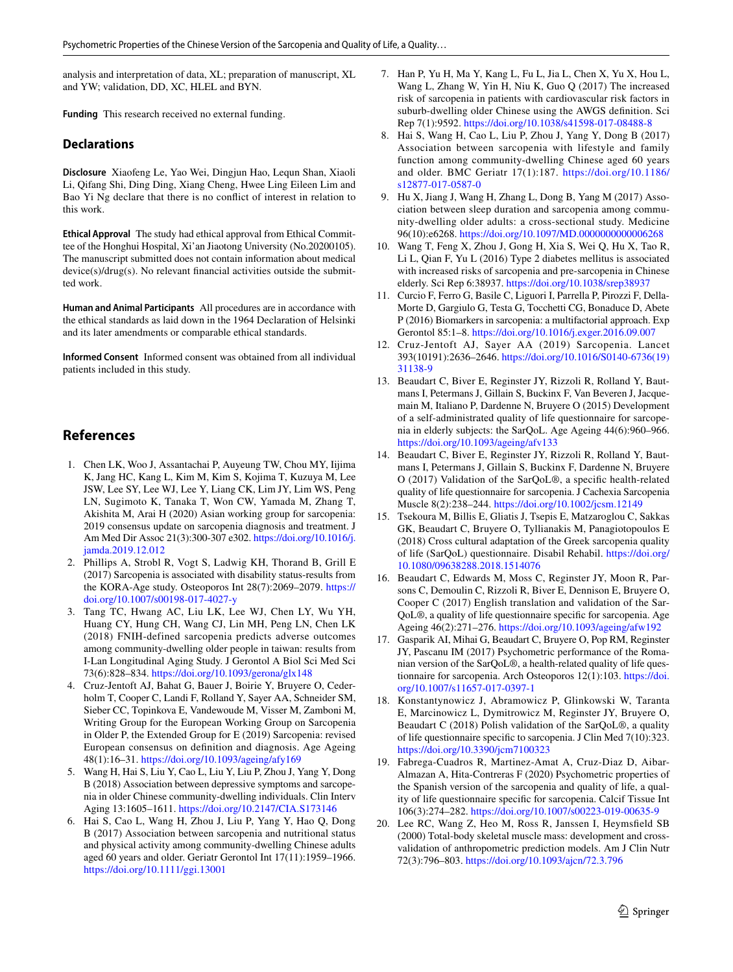analysis and interpretation of data, XL; preparation of manuscript, XL and YW; validation, DD, XC, HLEL and BYN.

**Funding** This research received no external funding.

# **Declarations**

**Disclosure** Xiaofeng Le, Yao Wei, Dingjun Hao, Lequn Shan, Xiaoli Li, Qifang Shi, Ding Ding, Xiang Cheng, Hwee Ling Eileen Lim and Bao Yi Ng declare that there is no confict of interest in relation to this work.

**Ethical Approval** The study had ethical approval from Ethical Committee of the Honghui Hospital, Xi'an Jiaotong University (No.20200105). The manuscript submitted does not contain information about medical device(s)/drug(s). No relevant fnancial activities outside the submitted work.

**Human and Animal Participants** All procedures are in accordance with the ethical standards as laid down in the 1964 Declaration of Helsinki and its later amendments or comparable ethical standards.

**Informed Consent** Informed consent was obtained from all individual patients included in this study.

# **References**

- <span id="page-6-0"></span>1. Chen LK, Woo J, Assantachai P, Auyeung TW, Chou MY, Iijima K, Jang HC, Kang L, Kim M, Kim S, Kojima T, Kuzuya M, Lee JSW, Lee SY, Lee WJ, Lee Y, Liang CK, Lim JY, Lim WS, Peng LN, Sugimoto K, Tanaka T, Won CW, Yamada M, Zhang T, Akishita M, Arai H (2020) Asian working group for sarcopenia: 2019 consensus update on sarcopenia diagnosis and treatment. J Am Med Dir Assoc 21(3):300-307 e302. [https://doi.org/10.1016/j.](https://doi.org/10.1016/j.jamda.2019.12.012) [jamda.2019.12.012](https://doi.org/10.1016/j.jamda.2019.12.012)
- <span id="page-6-1"></span>2. Phillips A, Strobl R, Vogt S, Ladwig KH, Thorand B, Grill E (2017) Sarcopenia is associated with disability status-results from the KORA-Age study. Osteoporos Int 28(7):2069–2079. [https://](https://doi.org/10.1007/s00198-017-4027-y) [doi.org/10.1007/s00198-017-4027-y](https://doi.org/10.1007/s00198-017-4027-y)
- 3. Tang TC, Hwang AC, Liu LK, Lee WJ, Chen LY, Wu YH, Huang CY, Hung CH, Wang CJ, Lin MH, Peng LN, Chen LK (2018) FNIH-defined sarcopenia predicts adverse outcomes among community-dwelling older people in taiwan: results from I-Lan Longitudinal Aging Study. J Gerontol A Biol Sci Med Sci 73(6):828–834.<https://doi.org/10.1093/gerona/glx148>
- <span id="page-6-2"></span>4. Cruz-Jentoft AJ, Bahat G, Bauer J, Boirie Y, Bruyere O, Cederholm T, Cooper C, Landi F, Rolland Y, Sayer AA, Schneider SM, Sieber CC, Topinkova E, Vandewoude M, Visser M, Zamboni M, Writing Group for the European Working Group on Sarcopenia in Older P, the Extended Group for E (2019) Sarcopenia: revised European consensus on defnition and diagnosis. Age Ageing 48(1):16–31. <https://doi.org/10.1093/ageing/afy169>
- <span id="page-6-3"></span>5. Wang H, Hai S, Liu Y, Cao L, Liu Y, Liu P, Zhou J, Yang Y, Dong B (2018) Association between depressive symptoms and sarcopenia in older Chinese community-dwelling individuals. Clin Interv Aging 13:1605–1611.<https://doi.org/10.2147/CIA.S173146>
- 6. Hai S, Cao L, Wang H, Zhou J, Liu P, Yang Y, Hao Q, Dong B (2017) Association between sarcopenia and nutritional status and physical activity among community-dwelling Chinese adults aged 60 years and older. Geriatr Gerontol Int 17(11):1959–1966. <https://doi.org/10.1111/ggi.13001>
- 7. Han P, Yu H, Ma Y, Kang L, Fu L, Jia L, Chen X, Yu X, Hou L, Wang L, Zhang W, Yin H, Niu K, Guo Q (2017) The increased risk of sarcopenia in patients with cardiovascular risk factors in suburb-dwelling older Chinese using the AWGS defnition. Sci Rep 7(1):9592.<https://doi.org/10.1038/s41598-017-08488-8>
- 8. Hai S, Wang H, Cao L, Liu P, Zhou J, Yang Y, Dong B (2017) Association between sarcopenia with lifestyle and family function among community-dwelling Chinese aged 60 years and older. BMC Geriatr 17(1):187. [https://doi.org/10.1186/](https://doi.org/10.1186/s12877-017-0587-0) [s12877-017-0587-0](https://doi.org/10.1186/s12877-017-0587-0)
- 9. Hu X, Jiang J, Wang H, Zhang L, Dong B, Yang M (2017) Association between sleep duration and sarcopenia among community-dwelling older adults: a cross-sectional study. Medicine 96(10):e6268. <https://doi.org/10.1097/MD.0000000000006268>
- <span id="page-6-4"></span>10. Wang T, Feng X, Zhou J, Gong H, Xia S, Wei Q, Hu X, Tao R, Li L, Qian F, Yu L (2016) Type 2 diabetes mellitus is associated with increased risks of sarcopenia and pre-sarcopenia in Chinese elderly. Sci Rep 6:38937. <https://doi.org/10.1038/srep38937>
- <span id="page-6-5"></span>11. Curcio F, Ferro G, Basile C, Liguori I, Parrella P, Pirozzi F, Della-Morte D, Gargiulo G, Testa G, Tocchetti CG, Bonaduce D, Abete P (2016) Biomarkers in sarcopenia: a multifactorial approach. Exp Gerontol 85:1–8. <https://doi.org/10.1016/j.exger.2016.09.007>
- <span id="page-6-6"></span>12. Cruz-Jentoft AJ, Sayer AA (2019) Sarcopenia. Lancet 393(10191):2636–2646. [https://doi.org/10.1016/S0140-6736\(19\)](https://doi.org/10.1016/S0140-6736(19)31138-9) [31138-9](https://doi.org/10.1016/S0140-6736(19)31138-9)
- <span id="page-6-7"></span>13. Beaudart C, Biver E, Reginster JY, Rizzoli R, Rolland Y, Bautmans I, Petermans J, Gillain S, Buckinx F, Van Beveren J, Jacquemain M, Italiano P, Dardenne N, Bruyere O (2015) Development of a self-administrated quality of life questionnaire for sarcopenia in elderly subjects: the SarQoL. Age Ageing 44(6):960–966. <https://doi.org/10.1093/ageing/afv133>
- <span id="page-6-8"></span>14. Beaudart C, Biver E, Reginster JY, Rizzoli R, Rolland Y, Bautmans I, Petermans J, Gillain S, Buckinx F, Dardenne N, Bruyere O (2017) Validation of the SarQoL®, a specifc health-related quality of life questionnaire for sarcopenia. J Cachexia Sarcopenia Muscle 8(2):238–244. <https://doi.org/10.1002/jcsm.12149>
- <span id="page-6-9"></span>15. Tsekoura M, Billis E, Gliatis J, Tsepis E, Matzaroglou C, Sakkas GK, Beaudart C, Bruyere O, Tyllianakis M, Panagiotopoulos E (2018) Cross cultural adaptation of the Greek sarcopenia quality of life (SarQoL) questionnaire. Disabil Rehabil. [https://doi.org/](https://doi.org/10.1080/09638288.2018.1514076) [10.1080/09638288.2018.1514076](https://doi.org/10.1080/09638288.2018.1514076)
- <span id="page-6-12"></span>16. Beaudart C, Edwards M, Moss C, Reginster JY, Moon R, Parsons C, Demoulin C, Rizzoli R, Biver E, Dennison E, Bruyere O, Cooper C (2017) English translation and validation of the Sar-QoL®, a quality of life questionnaire specifc for sarcopenia. Age Ageing 46(2):271–276. <https://doi.org/10.1093/ageing/afw192>
- <span id="page-6-14"></span>17. Gasparik AI, Mihai G, Beaudart C, Bruyere O, Pop RM, Reginster JY, Pascanu IM (2017) Psychometric performance of the Romanian version of the SarQoL®, a health-related quality of life questionnaire for sarcopenia. Arch Osteoporos 12(1):103. [https://doi.](https://doi.org/10.1007/s11657-017-0397-1) [org/10.1007/s11657-017-0397-1](https://doi.org/10.1007/s11657-017-0397-1)
- <span id="page-6-13"></span>18. Konstantynowicz J, Abramowicz P, Glinkowski W, Taranta E, Marcinowicz L, Dymitrowicz M, Reginster JY, Bruyere O, Beaudart C (2018) Polish validation of the SarQoL®, a quality of life questionnaire specifc to sarcopenia. J Clin Med 7(10):323. <https://doi.org/10.3390/jcm7100323>
- <span id="page-6-10"></span>19. Fabrega-Cuadros R, Martinez-Amat A, Cruz-Diaz D, Aibar-Almazan A, Hita-Contreras F (2020) Psychometric properties of the Spanish version of the sarcopenia and quality of life, a quality of life questionnaire specifc for sarcopenia. Calcif Tissue Int 106(3):274–282. <https://doi.org/10.1007/s00223-019-00635-9>
- <span id="page-6-11"></span>20. Lee RC, Wang Z, Heo M, Ross R, Janssen I, Heymsfeld SB (2000) Total-body skeletal muscle mass: development and crossvalidation of anthropometric prediction models. Am J Clin Nutr 72(3):796–803.<https://doi.org/10.1093/ajcn/72.3.796>